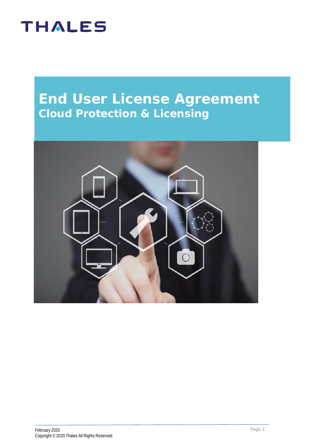### **End User License Agreement Cloud Protection & Licensing**

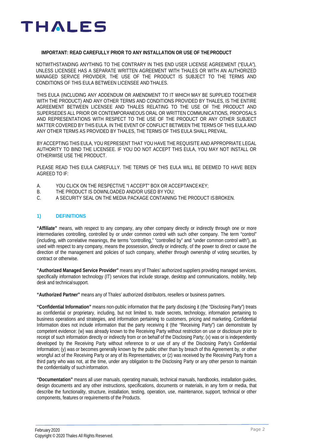

#### **IMPORTANT: READ CAREFULLY PRIOR TO ANY INSTALLATION OR USE OF THEPRODUCT**

NOTWITHSTANDING ANYTHING TO THE CONTRARY IN THIS END USER LICENSE AGREEMENT ("EULA"), UNLESS LICENSEE HAS A SEPARATE WRITTEN AGREEMENT WITH THALES OR WITH AN AUTHORIZED MANAGED SERVICE PROVIDER, THE USE OF THE PRODUCT IS SUBJECT TO THE TERMS AND CONDITIONS OF THIS EULA BETWEEN LICENSEE ANDTHALES.

THIS EULA (INCLUDING ANY ADDENDUM OR AMENDMENT TO IT WHICH MAY BE SUPPLIED TOGETHER WITH THE PRODUCT) AND ANY OTHER TERMS AND CONDITIONS PROVIDED BY THALES, IS THE ENTIRE AGREEMENT BETWEEN LICENSEE AND THALES RELATING TO THE USE OF THE PRODUCT AND SUPERSEDES ALL PRIOR OR CONTEMPORANEOUS ORAL OR WRITTEN COMMUNICATIONS, PROPOSALS AND REPRESENTATIONS WITH RESPECT TO THE USE OF THE PRODUCT OR ANY OTHER SUBJECT MATTER COVERED BY THIS EULA. IN THE EVENT OF CONFLICT BETWEEN THE TERMS OF THIS EULA AND ANY OTHER TERMS AS PROVIDED BY THALES, THE TERMS OF THIS EULA SHALL PREVAIL.

BY ACCEPTING THIS EULA, YOU REPRESENT THAT YOU HAVE THE REQUISITE AND APPROPRIATE LEGAL AUTHORITY TO BIND THE LICENSEE. IF YOU DO NOT ACCEPT THIS EULA, YOU MAY NOT INSTALL OR OTHERWISE USE THE PRODUCT.

PLEASE READ THIS EULA CAREFULLY. THE TERMS OF THIS EULA WILL BE DEEMED TO HAVE BEEN AGREED TO IF:

- A. YOU CLICK ON THE RESPECTIVE "I ACCEPT" BOX OR ACCEPTANCE KEY;<br>B. THE PRODUCT IS DOWNI OADED AND/OR USED BY YOU:
- B. THE PRODUCT IS DOWNLOADED AND/OR USED BY YOU;<br>C. A SECURITY SEAL ON THE MEDIA PACKAGE CONTAINING
- A SECURITY SEAL ON THE MEDIA PACKAGE CONTAINING THE PRODUCT IS BROKEN.

### **1) DEFINITIONS**

**"Affiliate"** means, with respect to any company, any other company directly or indirectly through one or more intermediaries controlling, controlled by or under common control with such other company. The term "control" (including, with correlative meanings, the terms "controlling," "controlled by" and "under common control with"), as used with respect to any company, means the possession, directly or indirectly, of the power to direct or cause the direction of the management and policies of such company, whether through ownership of voting securities, by contract or otherwise.

**"Authorized Managed Service Provider"** means any of Thales' authorized suppliers providing managed services, specifically information technology (IT) services that include storage, desktop and communications, mobility, help desk and technicalsupport.

**"Authorized Partner"** means any of Thales' authorized distributors, resellers or business partners.

**"Confidential Information"** means non-public information that the party disclosing it (the "Disclosing Party") treats as confidential or proprietary, including, but not limited to, trade secrets, technology, information pertaining to business operations and strategies, and information pertaining to customers, pricing and marketing. Confidential Information does not include information that the party receiving it (the "Receiving Party") can demonstrate by competent evidence: (w) was already known to the Receiving Party without restriction on use or disclosure prior to receipt of such information directly or indirectly from or on behalf of the Disclosing Party; (x) was or is independently developed by the Receiving Party without reference to or use of any of the Disclosing Party's Confidential Information; (y) was or becomes generally known by the public other than by breach of this Agreement by, or other wrongful act of the Receiving Party or any of its Representatives; or (z) was received by the Receiving Party from a third party who was not, at the time, under any obligation to the Disclosing Party or any other person to maintain the confidentiality of such information.

**"Documentation"** means all user manuals, operating manuals, technical manuals, handbooks, installation guides, design documents and any other instructions, specifications, documents or materials, in any form or media, that describe the functionality, structure, installation, testing, operation, use, maintenance, support, technical or other components, features or requirements of the Products.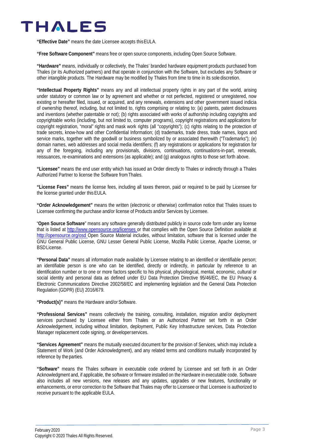**"Effective Date"** means the date Licensee accepts thisEULA.

**"Free Software Component"** means free or open source components, including Open Source Software.

**"Hardware"** means, individually or collectively, the Thales' branded hardware equipment products purchased from Thales (or its Authorized partners) and that operate in conjunction with the Software, but excludes any Software or other intangible products. The Hardware may be modified by Thales from time to time in its sole discretion.

**"Intellectual Property Rights"** means any and all intellectual property rights in any part of the world, arising under statutory or common law or by agreement and whether or not perfected, registered or unregistered, now existing or hereafter filed, issued, or acquired, and any renewals, extensions and other government issued indicia of ownership thereof, including, but not limited to, rights comprising or relating to: (a) patents, patent disclosures and inventions (whether patentable or not); (b) rights associated with works of authorship including copyrights and copyrightable works (including, but not limited to, computer programs), copyright registrations and applications for copyright registration, "moral" rights and mask work rights (all "copyrights"); (c) rights relating to the protection of trade secrets, know-how and other Confidential Information; (d) trademarks, trade dress, trade names, logos and service marks, together with the goodwill or business symbolized by or associated therewith ("Trademarks"); (e) domain names, web addresses and social media identifiers; (f) any registrations or applications for registration for any of the foregoing, including any provisionals, divisions, continuations, continuations-in-part, renewals, reissuances, re-examinations and extensions (as applicable); and (g) analogous rights to those set forth above.

**"Licensee"** means the end user entity which has issued an Order directly to Thales or indirectly through a Thales Authorized Partner to license the Software fromThales.

**"License Fees"** means the license fees, including all taxes thereon, paid or required to be paid by Licensee for the license granted under this EULA.

**"Order Acknowledgement"** means the written (electronic or otherwise) confirmation notice that Thales issues to Licensee confirming the purchase and/or license of Products and/or Services by Licensee.

"**Open Source Software**" means any software generally distributed publicly in source code form under any license that is listed at [http://www.opensource.org/licenses o](http://www.opensource.org/licenses)r that complies with the Open Source Definition available at [http://opensource.org/osd O](http://opensource.org/osd)pen Source Material includes, without limitation, software that is licensed under the GNU General Public License, GNU Lesser General Public License, Mozilla Public License, Apache License, or BSDLicense.

**"Personal Data"** means all information made available by Licensee relating to an identified or identifiable person; an identifiable person is one who can be identified, directly or indirectly, in particular by reference to an identification number or to one or more factors specific to his physical, physiological, mental, economic, cultural or social identity and personal data as defined under EU Data Protection Directive 95/46/EC, the EU Privacy & Electronic Communications Directive 2002/58/EC and implementing legislation and the General Data Protection Regulation (GDPR) (EU) 2016/679.

**"Product(s)"** means the Hardware and/orSoftware.

**"Professional Services"** means collectively the training, consulting, installation, migration and/or deployment services purchased by Licensee either from Thales or an Authorized Partner set forth in an Order Acknowledgement, including without limitation, deployment, Public Key Infrastructure services, Data Protection Manager replacement code signing, or developerservices.

**"Services Agreement"** means the mutually executed document for the provision of Services, which may include a Statement of Work (and Order Acknowledgment), and any related terms and conditions mutually incorporated by reference by the parties.

**"Software"** means the Thales software in executable code ordered by Licensee and set forth in an Order Acknowledgment and, if applicable, the software or firmware installed on the Hardware in executable code. Software also includes all new versions, new releases and any updates, upgrades or new features, functionality or enhancements, or error correction to the Software that Thales may offer to Licensee or that Licensee is authorized to receive pursuant to the applicable EULA.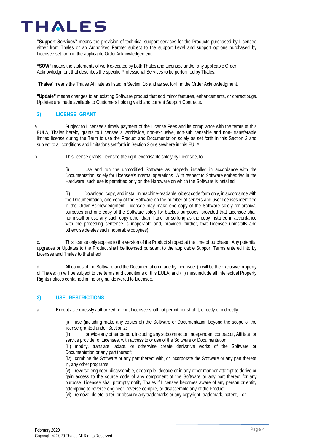**"Support Services"** means the provision of technical support services for the Products purchased by Licensee either from Thales or an Authorized Partner subject to the support Level and support options purchased by Licensee set forth in the applicable OrderAcknowledgement.

**"SOW"**means the statements of work executed by both Thales and Licensee and/or any applicable Order Acknowledgment that describes the specific Professional Services to be performed by Thales.

"**Thales**" means the Thales Affiliate as listed in Section 16 and as set forth in the Order Acknowledgment.

**"Update"** means changes to an existing Software product that add minor features, enhancements, or correct bugs. Updates are made available to Customers holding valid and current Support Contracts.

### **2) LICENSE GRANT**

a. Subject to Licensee's timely payment of the License Fees and its compliance with the terms of this EULA, Thales hereby grants to Licensee a worldwide, non-exclusive, non-sublicensable and non- transferable limited license during the Term to use the Product and Documentation solely as set forth in this Section 2 and subject to all conditions and limitations set forth in Section 3 or elsewhere in this EULA.

b. This license grants Licensee the right, exercisable solely by Licensee, to:

(i) Use and run the unmodified Software as properly installed in accordance with the Documentation, solely for Licensee's internal operations. With respect to Software embedded in the Hardware, such use is permitted only on the Hardware on which the Software is installed.

(ii) Download, copy, and install in machine-readable, object code form only, in accordance with the Documentation, one copy of the Software on the number of servers and user licenses identified in the Order Acknowledgment. Licensee may make one copy of the Software solely for archival purposes and one copy of the Software solely for backup purposes, provided that Licensee shall not install or use any such copy other than if and for so long as the copy installed in accordance with the preceding sentence is inoperable and, provided, further, that Licensee uninstalls and otherwise deletes such inoperable copy(ies).

c. This license only applies to the version of the Product shipped at the time of purchase. Any potential upgrades or Updates to the Product shall be licensed pursuant to the applicable Support Terms entered into by Licensee and Thales to that effect.

d. All copies of the Software and the Documentation made by Licensee: (i) will be the exclusive property of Thales; (ii) will be subject to the terms and conditions of this EULA; and (iii) must include all Intellectual Property Rights notices contained in the original delivered to Licensee.

### **3) USE RESTRICTIONS**

a. Except as expressly authorized herein, Licensee shall not permit nor shall it, directly or indirectly:

(i) use (including make any copies of) the Software or Documentation beyond the scope of the license granted under Section 2;

(ii) provide any other person, including any subcontractor, independent contractor, Affiliate, or service provider of Licensee, with access to or use of the Software or Documentation;

(iii) modify, translate, adapt, or otherwise create derivative works of the Software or Documentation or any part thereof;

(iv) combine the Software or any part thereof with, or incorporate the Software or any part thereof in, any other programs;

(v) reverse engineer, disassemble, decompile, decode or in any other manner attempt to derive or gain access to the source code of any component of the Software or any part thereof for any purpose. Licensee shall promptly notify Thales if Licensee becomes aware of any person or entity attempting to reverse engineer, reverse compile, or disassemble any of the Product.

(vi) remove, delete, alter, or obscure any trademarks or any copyright, trademark, patent, or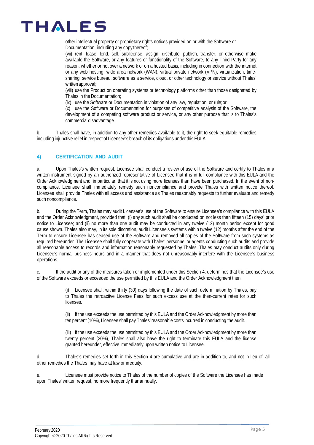other intellectual property or proprietary rights notices provided on or with the Software or Documentation, including any copy thereof;

(vii) rent, lease, lend, sell, sublicense, assign, distribute, publish, transfer, or otherwise make available the Software, or any features or functionality of the Software, to any Third Party for any reason, whether or not over a network or on a hosted basis, including in connection with the internet or any web hosting, wide area network (WAN), virtual private network (VPN), virtualization, timesharing, service bureau, software as a service, cloud, or other technology or service without Thales' writtenapproval;

(viii) use the Product on operating systems or technology platforms other than those designated by Thales in the Documentation;

(ix) use the Software or Documentation in violation of any law, regulation, or rule;or

(x) use the Software or Documentation for purposes of competitive analysis of the Software, the development of a competing software product or service, or any other purpose that is to Thales's commercial disadvantage.

b. Thales shall have, in addition to any other remedies available to it, the right to seek equitable remedies including injunctive relief in respect of Licensee's breach of its obligations under this EULA.

### **4) CERTIFICATION AND AUDIT**

a. Upon Thales's written request, Licensee shall conduct a review of use of the Software and certify to Thales in a written instrument signed by an authorized representative of Licensee that it is in full compliance with this EULA and the Order Acknowledgment and, in particular, that it is not using more licenses than have been purchased. In the event of noncompliance, Licensee shall immediately remedy such noncompliance and provide Thales with written notice thereof. Licensee shall provide Thales with all access and assistance as Thales reasonably requests to further evaluate and remedy such noncompliance.

b. During the Term, Thales may audit Licensee's use of the Software to ensure Licensee's compliance with this EULA and the Order Acknowledgment, provided that: (i) any such audit shall be conducted on not less than fifteen (15) days' prior notice to Licensee; and (ii) no more than one audit may be conducted in any twelve (12) month period except for good cause shown. Thales also may, in its sole discretion, audit Licensee's systems within twelve (12) months after the end of the Term to ensure Licensee has ceased use of the Software and removed all copies of the Software from such systems as required hereunder. The Licensee shall fully cooperate with Thales' personnel or agents conducting such audits and provide all reasonable access to records and information reasonably requested by Thales. Thales may conduct audits only during Licensee's normal business hours and in a manner that does not unreasonably interfere with the Licensee's business operations.

c. If the audit or any of the measures taken or implemented under this Section 4, determines that the Licensee's use of the Software exceeds or exceeded the use permitted by this EULA and the Order Acknowledgment then:

> (i) Licensee shall, within thirty (30) days following the date of such determination by Thales, pay to Thales the retroactive License Fees for such excess use at the then-current rates for such licenses.

> (ii) If the use exceeds the use permitted by this EULA and the Order Acknowledgment by more than ten percent (10%), Licensee shall pay Thales' reasonable costs incurred in conducting the audit.

> (iii) If the use exceeds the use permitted by this EULA and the Order Acknowledgment by more than twenty percent (20%), Thales shall also have the right to terminate this EULA and the license granted hereunder, effective immediately upon written notice to Licensee.

d. Thales's remedies set forth in this Section 4 are cumulative and are in addition to, and not in lieu of, all other remedies the Thales may have at law or inequity.

Licensee must provide notice to Thales of the number of copies of the Software the Licensee has made upon Thales' written request, no more frequently thanannually.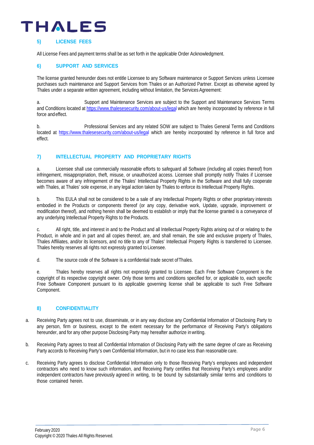### **5) LICENSE FEES**

All License Fees and payment terms shall be as set forth in the applicable Order Acknowledgment.

### **6) SUPPORT AND SERVICES**

The license granted hereunder does not entitle Licensee to any Software maintenance or Support Services unless Licensee purchases such maintenance and Support Services from Thales or an Authorized Partner. Except as otherwise agreed by Thales under a separate written agreement, including without limitation, the Services Agreement:

a. Support and Maintenance Services are subject to the Support and Maintenance Services Terms and Conditions located at <https://www.thalesesecurity.com/about-us/legal> which are hereby incorporated by reference in full force andeffect.

b. Professional Services and any related SOW are subject to Thales General Terms and Conditions located at<https://www.thalesesecurity.com/about-us/legal> which are hereby incorporated by reference in full force and effect.

### **7) INTELLECTUAL PROPERTY AND PROPRIETARY RIGHTS**

a. Licensee shall use commercially reasonable efforts to safeguard all Software (including all copies thereof) from infringement, misappropriation, theft, misuse, or unauthorized access. Licensee shall promptly notify Thales if Licensee becomes aware of any infringement of the Thales' Intellectual Property Rights in the Software and shall fully cooperate with Thales, at Thales' sole expense, in any legal action taken by Thales to enforce its Intellectual Property Rights.

b. This EULA shall not be considered to be a sale of any Intellectual Property Rights or other proprietary interests embodied in the Products or components thereof (or any copy, derivative work, Update, upgrade, improvement or modification thereof), and nothing herein shall be deemed to establish or imply that the license granted is a conveyance of any underlying Intellectual Property Rights to the Products.

c. All right, title, and interest in and to the Product and all Intellectual Property Rights arising out of or relating to the Product, in whole and in part and all copies thereof, are, and shall remain, the sole and exclusive property of Thales, Thales Affiliates, and/or its licensors, and no title to any of Thales' Intellectual Property Rights is transferred to Licensee. Thales hereby reserves all rights not expressly granted to Licensee.

d. The source code of the Software is a confidential trade secret ofThales.

e. Thales hereby reserves all rights not expressly granted to Licensee. Each Free Software Component is the copyright of its respective copyright owner. Only those terms and conditions specified for, or applicable to, each specific Free Software Component pursuant to its applicable governing license shall be applicable to such Free Software Component.

### **8) CONFIDENTIALITY**

- a. Receiving Party agrees not to use, disseminate, or in any way disclose any Confidential Information of Disclosing Party to any person, firm or business, except to the extent necessary for the performance of Receiving Party's obligations hereunder, and for any other purpose Disclosing Party may hereafter authorize inwriting.
- b. Receiving Party agrees to treat all Confidential Information of Disclosing Party with the same degree of care as Receiving Party accords to Receiving Party's own Confidential Information, but in no case less than reasonable care.
- c. Receiving Party agrees to disclose Confidential Information only to those Receiving Party's employees and independent contractors who need to know such information, and Receiving Party certifies that Receiving Party's employees and/or independent contractors have previously agreed in writing, to be bound by substantially similar terms and conditions to those contained herein.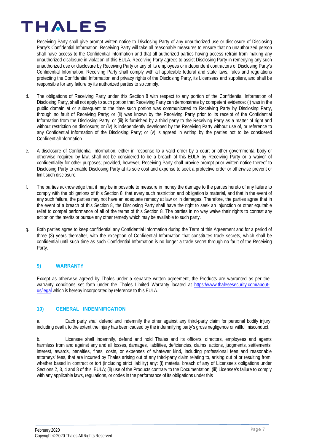Receiving Party shall give prompt written notice to Disclosing Party of any unauthorized use or disclosure of Disclosing Party's Confidential Information. Receiving Party will take all reasonable measures to ensure that no unauthorized person shall have access to the Confidential Information and that all authorized parties having access refrain from making any unauthorized disclosure in violation of this EULA. Receiving Party agrees to assist Disclosing Party in remedying any such unauthorized use or disclosure by Receiving Party or any of its employees or independent contractors of Disclosing Party's Confidential Information. Receiving Party shall comply with all applicable federal and state laws, rules and regulations protecting the Confidential Information and privacy rights of the Disclosing Party, its Licensees and suppliers, and shall be responsible for any failure by its authorized parties to socomply.

- d. The obligations of Receiving Party under this Section 8 with respect to any portion of the Confidential Information of Disclosing Party, shall not apply to such portion that Receiving Party can demonstrate by competent evidence: (i) was in the public domain at or subsequent to the time such portion was communicated to Receiving Party by Disclosing Party, through no fault of Receiving Party; or (ii) was known by the Receiving Party prior to its receipt of the Confidential Information from the Disclosing Party; or (iii) is furnished by a third party to the Receiving Party as a matter of right and without restriction on disclosure; or (iv) is independently developed by the Receiving Party without use of, or reference to any Confidential Information of the Disclosing Party; or (v) is agreed in writing by the parties not to be considered ConfidentialInformation.
- e. A disclosure of Confidential Information, either in response to a valid order by a court or other governmental body or otherwise required by law, shall not be considered to be a breach of this EULA by Receiving Party or a waiver of confidentiality for other purposes; provided, however, Receiving Party shall provide prompt prior written notice thereof to Disclosing Party to enable Disclosing Party at its sole cost and expense to seek a protective order or otherwise prevent or limit such disclosure.
- f. The parties acknowledge that it may be impossible to measure in money the damage to the parties hereto of any failure to comply with the obligations of this Section 8, that every such restriction and obligation is material, and that in the event of any such failure, the parties may not have an adequate remedy at law or in damages. Therefore, the parties agree that in the event of a breach of this Section 8, the Disclosing Party shall have the right to seek an injunction or other equitable relief to compel performance of all of the terms of this Section 8. The parties in no way waive their rights to contest any action on the merits or pursue any other remedy which may be available to such party.
- g. Both parties agree to keep confidential any Confidential Information during the Term of this Agreement and for a period of three (3) years thereafter, with the exception of Confidential Information that constitutes trade secrets, which shall be confidential until such time as such Confidential Information is no longer a trade secret through no fault of the Receiving Party.

### **9) WARRANTY**

Except as otherwise agreed by Thales under a separate written agreement, the Products are warranted as per the warranty conditions set forth under the Thales Limited Warranty located at [https://www.thalesesecurity.com/about](https://www.thalesesecurity.com/about-us/legal)[us/legal](https://www.thalesesecurity.com/about-us/legal) which is hereby incorporated by reference to this EULA.

### **10) GENERAL INDEMNIFICATION**

a. Each party shall defend and indemnify the other against any third-party claim for personal bodily injury, including death, to the extent the injury has been caused by the indemnifying party's gross negligence or willful misconduct.

b. Licensee shall indemnify, defend and hold Thales and its officers, directors, employees and agents harmless from and against any and all losses, damages, liabilities, deficiencies, claims, actions, judgments, settlements, interest, awards, penalties, fines, costs, or expenses of whatever kind, including professional fees and reasonable attorneys' fees, that are incurred by Thales arising out of any third-party claim relating to, arising out of or resulting from, whether based in contract or tort (including strict liability) any: (i) material breach of any of Licensee's obligations under Sections 2, 3, 4 and 8 of this EULA; (ii) use of the Products contrary to the Documentation; (iii) Licensee's failure to comply with any applicable laws, regulations, or codes in the performance of its obligations under this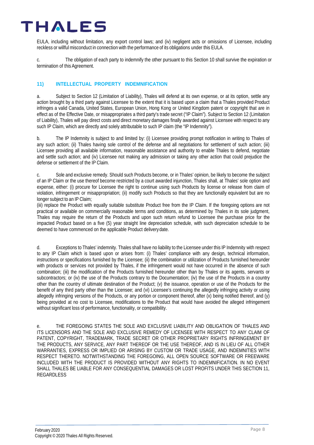EULA, including without limitation, any export control laws; and (iv) negligent acts or omissions of Licensee, including reckless or willfulmisconduct in connection with the performance of its obligations under this EULA.

c. The obligation of each party to indemnify the other pursuant to this Section 10 shall survive the expiration or termination of this Agreement.

### **11) INTELLECTUAL PROPERTY INDEMNIFICATION**

a. Subject to Section 12 (Limitation of Liability), Thales will defend at its own expense, or at its option, settle any action brought by a third party against Licensee to the extent that it is based upon a claim that a Thales provided Product infringes a valid Canada, United States, European Union, Hong Kong or United Kingdom patent or copyright that are in effect as of the Effective Date, or misappropriates a third party's trade secret ("IP Claim"). Subject to Section 12 (Limitation of Liability), Thales will pay direct costs and direct monetary damages finally awarded against Licensee with respect to any such IP Claim, which are directly and solely attributable to such IP claim (the "IP Indemnity").

b. The IP Indemnity is subject to and limited by: (i) Licensee providing prompt notification in writing to Thales of any such action; (ii) Thales having sole control of the defense and all negotiations for settlement of such action; (iii) Licensee providing all available information, reasonable assistance and authority to enable Thales to defend, negotiate and settle such action; and (iv) Licensee not making any admission or taking any other action that could prejudice the defense or settlement of the IP Claim.

c. Sole and exclusive remedy. Should such Products become, or in Thales' opinion, be likely to become the subject of an IP Claim or the use thereof become restricted by a court awarded injunction, Thales shall, at Thales' sole option and expense, either: (i) procure for Licensee the right to continue using such Products by license or release from claim of violation, infringement or misappropriation; (ii) modify such Products so that they are functionally equivalent but are no longer subject to an IP Claim;

(iii) replace the Product with equally suitable substitute Product free from the IP Claim. If the foregoing options are not practical or available on commercially reasonable terms and conditions, as determined by Thales in its sole judgment, Thales may require the return of the Products and upon such return refund to Licensee the purchase price for the impacted Product based on a five (5) year straight line depreciation schedule, with such depreciation schedule to be deemed to have commenced on the applicable Product deliverydate.

d. Exceptions to Thales' indemnity. Thales shall have no liability to the Licensee under this IP Indemnity with respect to any IP Claim which is based upon or arises from: (i) Thales' compliance with any design, technical information, instructions or specifications furnished by the Licensee; (ii) the combination or utilization of Products furnished hereunder with products or services not provided by Thales, if the infringement would not have occurred in the absence of such combination; (iii) the modification of the Products furnished hereunder other than by Thales or its agents, servants or subcontractors; or (iv) the use of the Products contrary to the Documentation; (iv) the use of the Products in a country other than the country of ultimate destination of the Product; (v) the issuance, operation or use of the Products for the benefit of any third party other than the Licensee; and (vi) Licensee's continuing the allegedly infringing activity or using allegedly infringing versions of the Products, or any portion or component thereof, after (x) being notified thereof, and (y) being provided at no cost to Licensee, modifications to the Product that would have avoided the alleged infringement without significant loss of performance, functionality, or compatibility.

e. THE FOREGOING STATES THE SOLE AND EXCLUSIVE LIABILITY AND OBLIGATION OF THALES AND ITS LICENSORS AND THE SOLE AND EXCLUSIVE REMEDY OF LICENSEE WITH RESPECT TO ANY CLAIM OF PATENT, COPYRIGHT, TRADEMARK, TRADE SECRET OR OTHER PROPRIETARY RIGHTS INFRINGEMENT BY THE PRODUCTS, ANY SERVICE, ANY PART THEREOF OR THE USE THEREOF, AND IS IN LIEU OF ALL OTHER WARRANTIES, EXPRESS OR IMPLIED OR ARISING BY CUSTOM OR TRADE USAGE, AND INDEMNITIES WITH RESPECT THERETO. NOTWITHSTANDING THE FOREGOING, ALL OPEN SOURCE SOFTWARE OR FREEWARE INCLUDED WITH THE PRODUCT IS PROVIDED WITHOUT ANY RIGHTS TO INDEMNIFICATION. IN NO EVENT SHALL THALES BE LIABLE FOR ANY CONSEQUENTIAL DAMAGES OR LOST PROFITS UNDER THIS SECTION 11, REGARDLESS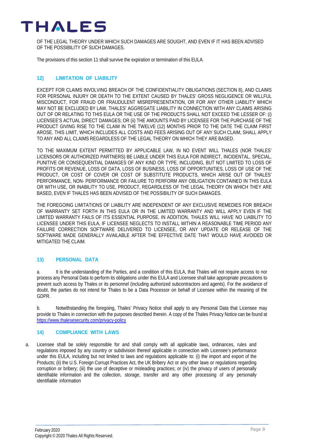

OF THE LEGAL THEORY UNDER WHICH SUCH DAMAGES ARE SOUGHT, AND EVEN IF IT HAS BEEN ADVISED OF THE POSSIBILITY OF SUCH DAMAGES.

The provisions of this section 11 shall survive the expiration or termination of this EULA.

### **12) LIMITATION OF LIABILITY**

EXCEPT FOR CLAIMS INVOLVING BREACH OF THE CONFIDENTIALITY OBLIGATIONS (SECTION 8), AND CLAIMS FOR PERSONAL INJURY OR DEATH TO THE EXTENT CAUSED BY THALES' GROSS NEGLIGENCE OR WILLFUL MISCONDUCT, FOR FRAUD OR FRAUDULENT MISREPRESENTATION, OR FOR ANY OTHER LIABILITY WHICH MAY NOT BE EXCLUDED BY LAW, THALES' AGGREGATE LIABILITY IN CONNECTION WITH ANY CLAIMS ARISING OUT OF OR RELATING TO THIS EULA OR THE USE OF THE PRODUCTS SHALL NOT EXCEED THE LESSER OF: (i) LICENSEE'S ACTUAL DIRECT DAMAGES; OR (ii) THE AMOUNTS PAID BY LICENSEE FOR THE PURCHASE OF THE PRODUCT GIVING RISE TO THE CLAIM IN THE TWELVE (12) MONTHS PRIOR TO THE DATE THE CLAIM FIRST AROSE. THIS LIMIT, WHICH INCLUDES ALL COSTS AND FEES ARISING OUT OF ANY SUCH CLAIM, SHALL APPLY TO ANY AND ALL CLAIMS REGARDLESS OF THE LEGAL THEORY ON WHICH THEY ARE BASED.

TO THE MAXIMUM EXTENT PERMITTED BY APPLICABLE LAW, IN NO EVENT WILL THALES (NOR THALES' LICENSORS OR AUTHORIZED PARTNERS) BE LIABLE UNDER THIS EULA FOR INDIRECT, INCIDENTAL, SPECIAL, PUNITIVE OR CONSEQUENTIAL DAMAGES OF ANY KIND OR TYPE, INCLUDING, BUT NOT LIMITED TO LOSS OF PROFITS OR REVENUE, LOSS OF DATA, LOSS OF BUSINESS, LOSS OF OPPORTUNITIES, LOSS OF USE OF THE PRODUCT, OR COST OF COVER OR COST OF SUBSTITUTE PRODUCTS, WHICH ARISE OUT OF THALES' PERFORMANCE, NON- PERFORMANCE OR FAILURE TO PERFORM ANY OBLIGATION CONTAINED IN THIS EULA OR WITH USE, OR INABILITY TO USE, PRODUCT, REGARDLESS OF THE LEGAL THEORY ON WHICH THEY ARE BASED, EVEN IF THALES HAS BEEN ADVISED OF THE POSSIBILITY OF SUCH DAMAGES.

THE FOREGOING LIMITATIONS OF LIABILITY ARE INDEPENDENT OF ANY EXCLUSIVE REMEDIES FOR BREACH OF WARRANTY SET FORTH IN THIS EULA OR IN THE LIMITED WARRANTY AND WILL APPLY EVEN IF THE LIMITED WARRANTY FAILS OF ITS ESSENTIAL PURPOSE. IN ADDITION, THALES WILL HAVE NO LIABILITY TO LICENSEE UNDER THIS EULA, IF LICENSEE NEGLECTS TO INSTALL WITHIN A REASONABLE TIME PERIOD ANY FAILURE CORRECTION SOFTWARE DELIVERED TO LICENSEE, OR ANY UPDATE OR RELEASE OF THE SOFTWARE MADE GENERALLY AVAILABLE AFTER THE EFFECTIVE DATE THAT WOULD HAVE AVOIDED OR MITIGATED THE CLAIM.

### **13) PERSONAL DATA**

a. It is the understanding of the Parties, and a condition of this EULA, that Thales will not require access to nor process any Personal Data to perform its obligations under this EULA and Licensee shall take appropriate precautions to prevent such access by Thales or its personnel (including authorized subcontractors and agents). For the avoidance of doubt, the parties do not intend for Thales to be a Data Processor on behalf of Licensee within the meaning of the GDPR.

b. Notwithstanding the foregoing, Thales' Privacy Notice shall apply to any Personal Data that Licensee may provide to Thales in connection with the purposes described therein. A copy of the Thales Privacy Notice can be found at <https://www.thalesesecurity.com/privacy-policy>

### **14) COMPLIANCE WITH LAWS**

a. Licensee shall be solely responsible for and shall comply with all applicable laws, ordinances, rules and regulations imposed by any country or subdivision thereof applicable in connection with Licensee's performance under this EULA, including but not limited to laws and regulations applicable to: (i) the import and export of the Products; (ii) the U.S. Foreign Corrupt Practices Act, the UK Bribery Act or any other laws or regulations regarding corruption or bribery; (iii) the use of deceptive or misleading practices; or (iv) the privacy of users of personally identifiable information and the collection, storage, transfer and any other processing of any personally identifiable information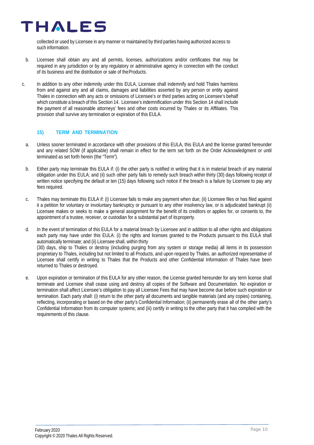collected or used by Licensee in anymanner or maintained by third parties having authorized access to such information.

- b. Licensee shall obtain any and all permits, licenses, authorizations and/or certificates that may be required in any jurisdiction or by any regulatory or administrative agency in connection with the conduct of its business and the distribution or sale of theProducts.
- c. In addition to any other indemnity under this EULA, Licensee shall indemnify and hold Thales harmless from and against any and all claims, damages and liabilities asserted by any person or entity against Thales in connection with any acts or omissions of Licensee's or third parties acting on Licensee's behalf which constitute a breach of this Section 14. Licensee's indemnification under this Section 14 shall include the payment of all reasonable attorneys' fees and other costs incurred by Thales or its Affiliates. This provision shall survive any termination or expiration of this EULA.

### **15) TERM AND TERMINATION**

- a. Unless sooner terminated in accordance with other provisions of this EULA, this EULA and the license granted hereunder and any related SOW (if applicable) shall remain in effect for the term set forth on the Order Acknowledgment or until terminated as set forth herein (the "Term").
- b. Either party may terminate this EULA if: (i) the other party is notified in writing that it is in material breach of any material obligation under this EULA; and (ii) such other party fails to remedy such breach within thirty (30) days following receipt of written notice specifying the default or ten (15) days following such notice if the breach is a failure by Licensee to pay any fees required.
- c. Thales may terminate this EULA if: (i) Licensee fails to make any payment when due; (ii) Licensee files or has filed against it a petition for voluntary or involuntary bankruptcy or pursuant to any other insolvency law, or is adjudicated bankrupt (ii) Licensee makes or seeks to make a general assignment for the benefit of its creditors or applies for, or consents to, the appointment of a trustee, receiver, or custodian for a substantial part of itsproperty.
- d. In the event of termination of this EULA for a material breach by Licensee and in addition to all other rights and obligations each party may have under this EULA: (i) the rights and licenses granted to the Products pursuant to this EULA shall automatically terminate; and (ii) Licensee shall, within thirty (30) days, ship to Thales or destroy (including purging from any system or storage media) all items in its possession proprietary to Thales, including but not limited to all Products, and upon request by Thales, an authorized representative of Licensee shall certify in writing to Thales that the Products and other Confidential Information of Thales have been returned to Thales or destroyed.
- e. Upon expiration or termination of this EULA for any other reason, the License granted hereunder for any term license shall terminate and Licensee shall cease using and destroy all copies of the Software and Documentation. No expiration or termination shall affect Licensee's obligation to pay all Licensee Fees that may have become due before such expiration or termination. Each party shall: (i) return to the other party all documents and tangible materials (and any copies) containing, reflecting, incorporating or based on the other party's Confidential Information; (ii) permanently erase all of the other party's Confidential Information from its computer systems; and (iii) certify in writing to the other party that it has complied with the requirements of this clause.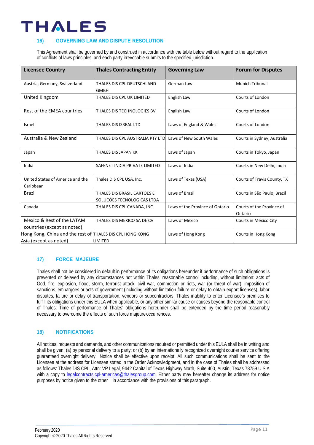### **16) GOVERNING LAW AND DISPUTE RESOLUTION**

This Agreement shall be governed by and construed in accordance with the table below without regard to the application of conflicts of laws principles, and each party irrevocable submits to the specified jurisdiction.

| <b>Licensee Country</b>                                                             | <b>Thales Contracting Entity</b>                          | <b>Governing Law</b>            | <b>Forum for Disputes</b>            |
|-------------------------------------------------------------------------------------|-----------------------------------------------------------|---------------------------------|--------------------------------------|
| Austria, Germany, Switzerland                                                       | THALES DIS CPL DEUTSCHLAND<br><b>GMBH</b>                 | German Law                      | <b>Munich Tribunal</b>               |
| United Kingdom                                                                      | THALES DIS CPL UK LIMITED                                 | English Law                     | Courts of London                     |
| Rest of the EMEA countries                                                          | THALES DIS TECHNOLOGIES BV                                | English Law                     | Courts of London                     |
| Israel                                                                              | THALES DIS ISREAL LTD                                     | Laws of England & Wales         | Courts of London                     |
| Australia & New Zealand                                                             | THALES DIS CPL AUSTRALIA PTY LTD                          | Laws of New South Wales         | Courts in Sydney, Australia          |
| Japan                                                                               | THALES DIS JAPAN KK                                       | Laws of Japan                   | Courts in Tokyo, Japan               |
| India                                                                               | SAFENET INDIA PRIVATE LIMITED                             | Laws of India                   | Courts in New Delhi, India           |
| United States of America and the<br>Caribbean                                       | Thales DIS CPL USA, Inc.                                  | Laws of Texas (USA)             | Courts of Travis County, TX          |
| Brazil                                                                              | THALES DIS BRASIL CARTÕES E<br>SOLUÇÕES TECNOLOGICAS LTDA | Laws of Brazil                  | Courts in São Paulo, Brazil          |
| Canada                                                                              | THALES DIS CPL CANADA, INC.                               | Laws of the Province of Ontario | Courts of the Province of<br>Ontario |
| Mexico & Rest of the LATAM<br>countries (except as noted)                           | THALES DIS MEXICO SA DE CV                                | Laws of Mexico                  | Courts in Mexico City                |
| Hong Kong, China and the rest of THALES DIS CPL HONG KONG<br>Asia (except as noted) | LIMITED                                                   | Laws of Hong Kong               | Courts in Hong Kong                  |

### **17) FORCE MAJEURE**

Thales shall not be considered in default in performance of its obligations hereunder if performance of such obligations is prevented or delayed by any circumstances not within Thales' reasonable control including, without limitation: acts of God, fire, explosion, flood, storm, terrorist attack, civil war, commotion or riots, war (or threat of war), imposition of sanctions, embargoes or acts of government (including without limitation failure or delay to obtain export licenses), labor disputes, failure or delay of transportation, vendors or subcontractors, Thales inability to enter Licensee's premises to fulfill its obligations under this EULA when applicable, or any other similar cause or causes beyond the reasonable control of Thales. Time of performance of Thales' obligations hereunder shall be extended by the time period reasonably necessary to overcome the effects of such force majeure occurrences.

### **18) NOTIFICATIONS**

All notices, requests and demands, and other communications required or permitted under this EULA shall be in writing and shall be given: (a) by personal delivery to a party; or (b) by an internationally recognized overnight courier service offering guaranteed overnight delivery. Notice shall be effective upon receipt. All such communications shall be sent to the Licensee at the address for Licensee stated in the Order Acknowledgment, and in the case of Thales shall be addressed as follows: Thales DIS CPL, Attn: VP Legal, 9442 Capital of Texas Highway North, Suite 400, Austin, Texas 78759 U.S.A with a copy to [legalcontracts.cpl-americas@thalesgroup.com.](mailto:legalcontracts.cpl-americas@thalesgroup.com) Either party may hereafter change its address for notice purposes by notice given to the other in accordance with the provisions of this paragraph.